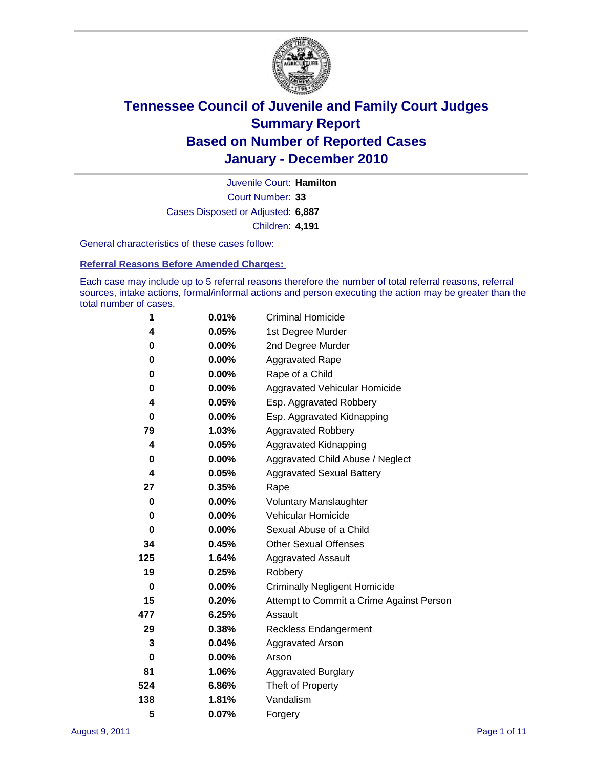

Court Number: **33** Juvenile Court: **Hamilton** Cases Disposed or Adjusted: **6,887** Children: **4,191**

General characteristics of these cases follow:

**Referral Reasons Before Amended Charges:** 

Each case may include up to 5 referral reasons therefore the number of total referral reasons, referral sources, intake actions, formal/informal actions and person executing the action may be greater than the total number of cases.

| 1   | 0.01%    | <b>Criminal Homicide</b>                 |  |  |  |
|-----|----------|------------------------------------------|--|--|--|
| 4   | 0.05%    | 1st Degree Murder                        |  |  |  |
|     |          |                                          |  |  |  |
| 0   | $0.00\%$ | 2nd Degree Murder                        |  |  |  |
| 0   | $0.00\%$ | <b>Aggravated Rape</b>                   |  |  |  |
| 0   | $0.00\%$ | Rape of a Child                          |  |  |  |
| 0   | $0.00\%$ | Aggravated Vehicular Homicide            |  |  |  |
| 4   | 0.05%    | Esp. Aggravated Robbery                  |  |  |  |
| 0   | 0.00%    | Esp. Aggravated Kidnapping               |  |  |  |
| 79  | 1.03%    | <b>Aggravated Robbery</b>                |  |  |  |
| 4   | 0.05%    | Aggravated Kidnapping                    |  |  |  |
| 0   | 0.00%    | Aggravated Child Abuse / Neglect         |  |  |  |
| 4   | 0.05%    | <b>Aggravated Sexual Battery</b>         |  |  |  |
| 27  | 0.35%    | Rape                                     |  |  |  |
| 0   | $0.00\%$ | <b>Voluntary Manslaughter</b>            |  |  |  |
| 0   | 0.00%    | Vehicular Homicide                       |  |  |  |
| 0   | $0.00\%$ | Sexual Abuse of a Child                  |  |  |  |
| 34  | 0.45%    | <b>Other Sexual Offenses</b>             |  |  |  |
| 125 | 1.64%    | <b>Aggravated Assault</b>                |  |  |  |
| 19  | 0.25%    | Robbery                                  |  |  |  |
| 0   | $0.00\%$ | <b>Criminally Negligent Homicide</b>     |  |  |  |
| 15  | 0.20%    | Attempt to Commit a Crime Against Person |  |  |  |
| 477 | 6.25%    | Assault                                  |  |  |  |
| 29  | 0.38%    | <b>Reckless Endangerment</b>             |  |  |  |
| 3   | 0.04%    | <b>Aggravated Arson</b>                  |  |  |  |
| 0   | 0.00%    | Arson                                    |  |  |  |
| 81  | 1.06%    | <b>Aggravated Burglary</b>               |  |  |  |
| 524 | 6.86%    | Theft of Property                        |  |  |  |
| 138 | 1.81%    | Vandalism                                |  |  |  |
| 5   | 0.07%    | Forgery                                  |  |  |  |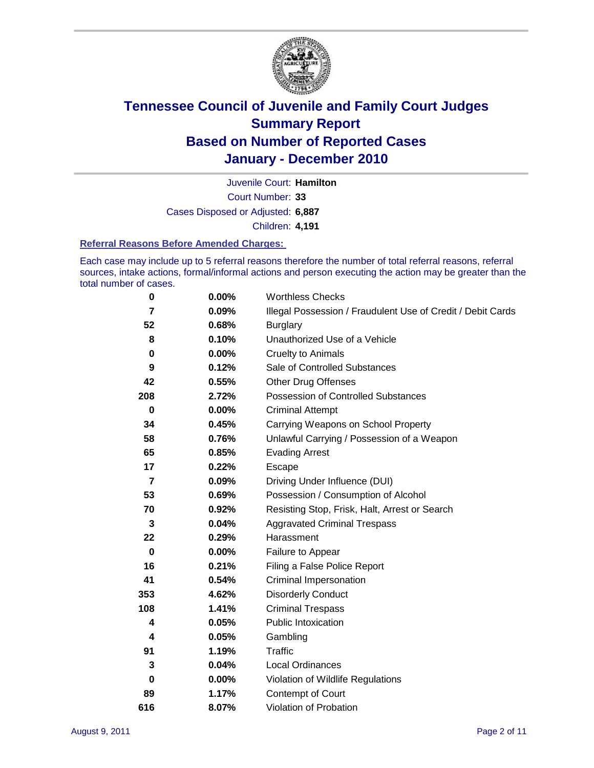

Court Number: **33** Juvenile Court: **Hamilton** Cases Disposed or Adjusted: **6,887** Children: **4,191**

#### **Referral Reasons Before Amended Charges:**

Each case may include up to 5 referral reasons therefore the number of total referral reasons, referral sources, intake actions, formal/informal actions and person executing the action may be greater than the total number of cases.

| $\pmb{0}$      | 0.00%    | <b>Worthless Checks</b>                                     |
|----------------|----------|-------------------------------------------------------------|
| $\overline{7}$ | 0.09%    | Illegal Possession / Fraudulent Use of Credit / Debit Cards |
| 52             | 0.68%    | <b>Burglary</b>                                             |
| 8              | 0.10%    | Unauthorized Use of a Vehicle                               |
| 0              | $0.00\%$ | <b>Cruelty to Animals</b>                                   |
| 9              | 0.12%    | Sale of Controlled Substances                               |
| 42             | 0.55%    | <b>Other Drug Offenses</b>                                  |
| 208            | 2.72%    | Possession of Controlled Substances                         |
| $\bf{0}$       | $0.00\%$ | <b>Criminal Attempt</b>                                     |
| 34             | 0.45%    | Carrying Weapons on School Property                         |
| 58             | 0.76%    | Unlawful Carrying / Possession of a Weapon                  |
| 65             | 0.85%    | <b>Evading Arrest</b>                                       |
| 17             | 0.22%    | Escape                                                      |
| 7              | 0.09%    | Driving Under Influence (DUI)                               |
| 53             | 0.69%    | Possession / Consumption of Alcohol                         |
| 70             | 0.92%    | Resisting Stop, Frisk, Halt, Arrest or Search               |
| 3              | 0.04%    | <b>Aggravated Criminal Trespass</b>                         |
| 22             | 0.29%    | Harassment                                                  |
| $\mathbf 0$    | 0.00%    | Failure to Appear                                           |
| 16             | 0.21%    | Filing a False Police Report                                |
| 41             | 0.54%    | Criminal Impersonation                                      |
| 353            | 4.62%    | <b>Disorderly Conduct</b>                                   |
| 108            | 1.41%    | <b>Criminal Trespass</b>                                    |
| 4              | 0.05%    | <b>Public Intoxication</b>                                  |
| 4              | 0.05%    | Gambling                                                    |
| 91             | 1.19%    | <b>Traffic</b>                                              |
| 3              | 0.04%    | <b>Local Ordinances</b>                                     |
| 0              | 0.00%    | Violation of Wildlife Regulations                           |
| 89             | 1.17%    | Contempt of Court                                           |
| 616            | 8.07%    | Violation of Probation                                      |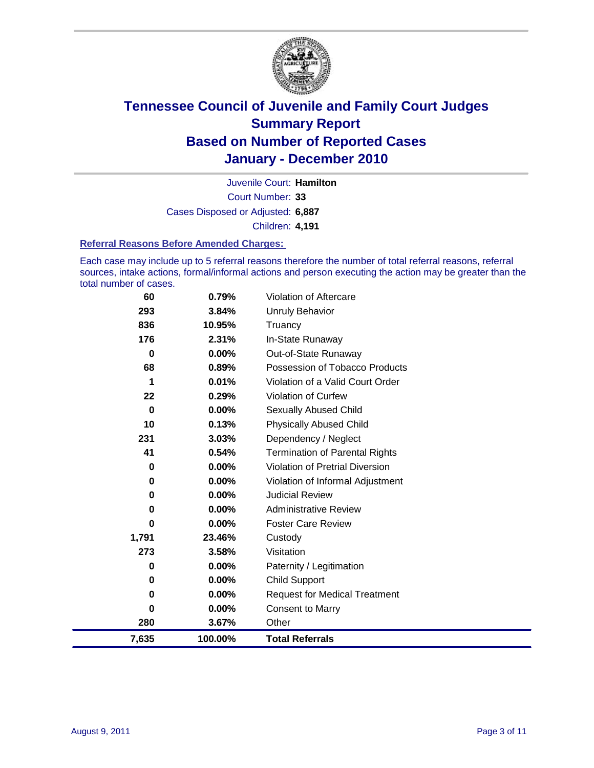

Court Number: **33** Juvenile Court: **Hamilton** Cases Disposed or Adjusted: **6,887** Children: **4,191**

#### **Referral Reasons Before Amended Charges:**

Each case may include up to 5 referral reasons therefore the number of total referral reasons, referral sources, intake actions, formal/informal actions and person executing the action may be greater than the total number of cases.

| 7,635    | 100.00%  | <b>Total Referrals</b>                |
|----------|----------|---------------------------------------|
| 280      | 3.67%    | Other                                 |
| 0        | 0.00%    | <b>Consent to Marry</b>               |
| 0        | $0.00\%$ | <b>Request for Medical Treatment</b>  |
| 0        | 0.00%    | <b>Child Support</b>                  |
| 0        | $0.00\%$ | Paternity / Legitimation              |
| 273      | 3.58%    | Visitation                            |
| 1,791    | 23.46%   | Custody                               |
| 0        | $0.00\%$ | <b>Foster Care Review</b>             |
| 0        | $0.00\%$ | <b>Administrative Review</b>          |
| 0        | 0.00%    | <b>Judicial Review</b>                |
| 0        | $0.00\%$ | Violation of Informal Adjustment      |
| 0        | 0.00%    | Violation of Pretrial Diversion       |
| 41       | 0.54%    | <b>Termination of Parental Rights</b> |
| 231      | 3.03%    | Dependency / Neglect                  |
| 10       | 0.13%    | <b>Physically Abused Child</b>        |
| $\bf{0}$ | $0.00\%$ | Sexually Abused Child                 |
| 22       | 0.29%    | Violation of Curfew                   |
| 1        | 0.01%    | Violation of a Valid Court Order      |
| 68       | 0.89%    | Possession of Tobacco Products        |
| $\bf{0}$ | 0.00%    | Out-of-State Runaway                  |
| 176      | 2.31%    | In-State Runaway                      |
| 836      | 10.95%   | Truancy                               |
| 293      | 3.84%    | <b>Unruly Behavior</b>                |
| 60       | 0.79%    | <b>Violation of Aftercare</b>         |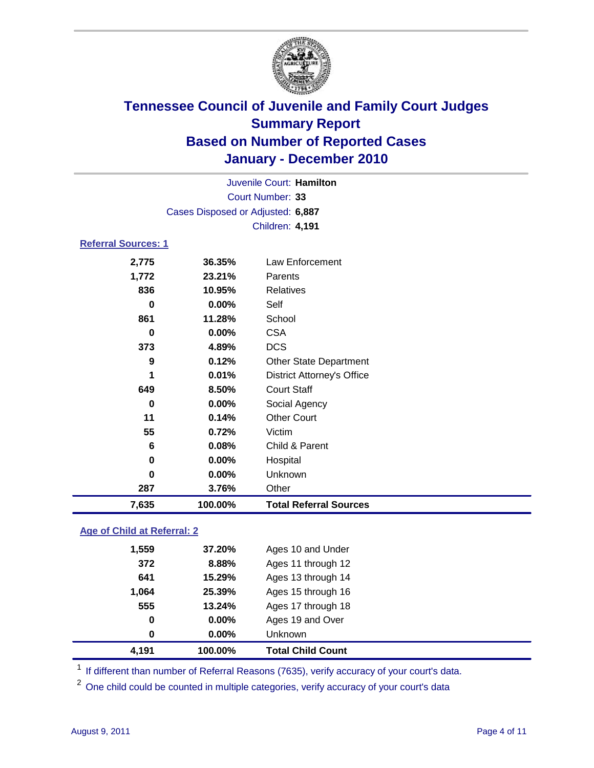

| Juvenile Court: Hamilton          |          |                                   |  |
|-----------------------------------|----------|-----------------------------------|--|
| Court Number: 33                  |          |                                   |  |
| Cases Disposed or Adjusted: 6,887 |          |                                   |  |
|                                   |          | Children: 4,191                   |  |
| <b>Referral Sources: 1</b>        |          |                                   |  |
| 2,775                             | 36.35%   | <b>Law Enforcement</b>            |  |
| 1,772                             | 23.21%   | Parents                           |  |
| 836                               | 10.95%   | <b>Relatives</b>                  |  |
| 0                                 | $0.00\%$ | Self                              |  |
| 861                               | 11.28%   | School                            |  |
| $\bf{0}$                          | 0.00%    | <b>CSA</b>                        |  |
| 373                               | 4.89%    | <b>DCS</b>                        |  |
| 9                                 | 0.12%    | <b>Other State Department</b>     |  |
| 1                                 | 0.01%    | <b>District Attorney's Office</b> |  |
| 649                               | 8.50%    | <b>Court Staff</b>                |  |
| 0                                 | 0.00%    | Social Agency                     |  |
| 11                                | 0.14%    | <b>Other Court</b>                |  |
| 55                                | 0.72%    | Victim                            |  |
| 6                                 | 0.08%    | Child & Parent                    |  |
| 0                                 | 0.00%    | Hospital                          |  |
| $\bf{0}$                          | 0.00%    | <b>Unknown</b>                    |  |
| 287                               | 3.76%    | Other                             |  |
| 7,635                             | 100.00%  | <b>Total Referral Sources</b>     |  |

### **Age of Child at Referral: 2**

| 0<br>0 | 0.00%<br>0.00% | Ages 19 and Over<br><b>Unknown</b> |
|--------|----------------|------------------------------------|
|        |                |                                    |
|        |                |                                    |
|        |                | Ages 17 through 18                 |
| 1,064  | 25.39%         | Ages 15 through 16                 |
| 641    | 15.29%         | Ages 13 through 14                 |
| 372    | 8.88%          | Ages 11 through 12                 |
| 1,559  | 37.20%         | Ages 10 and Under                  |
|        |                | 555<br>13.24%                      |

<sup>1</sup> If different than number of Referral Reasons (7635), verify accuracy of your court's data.

<sup>2</sup> One child could be counted in multiple categories, verify accuracy of your court's data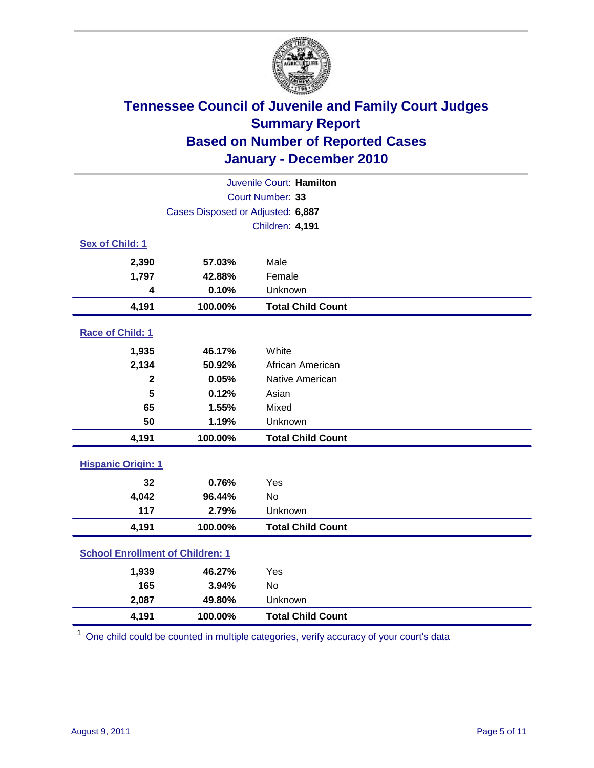

| Juvenile Court: Hamilton                |                                   |                          |  |  |  |
|-----------------------------------------|-----------------------------------|--------------------------|--|--|--|
|                                         | Court Number: 33                  |                          |  |  |  |
|                                         | Cases Disposed or Adjusted: 6,887 |                          |  |  |  |
|                                         |                                   | Children: 4,191          |  |  |  |
| Sex of Child: 1                         |                                   |                          |  |  |  |
| 2,390                                   | 57.03%                            | Male                     |  |  |  |
| 1,797                                   | 42.88%                            | Female                   |  |  |  |
| 4                                       | 0.10%                             | Unknown                  |  |  |  |
| 4,191                                   | 100.00%                           | <b>Total Child Count</b> |  |  |  |
| Race of Child: 1                        |                                   |                          |  |  |  |
| 1,935                                   | 46.17%                            | White                    |  |  |  |
| 2,134                                   | 50.92%                            | African American         |  |  |  |
| $\overline{\mathbf{2}}$                 | 0.05%                             | Native American          |  |  |  |
| 5                                       | 0.12%                             | Asian                    |  |  |  |
| 65                                      | 1.55%                             | Mixed                    |  |  |  |
| 50                                      | 1.19%                             | Unknown                  |  |  |  |
| 4,191                                   | 100.00%                           | <b>Total Child Count</b> |  |  |  |
| <b>Hispanic Origin: 1</b>               |                                   |                          |  |  |  |
| 32                                      | 0.76%                             | Yes                      |  |  |  |
| 4,042                                   | 96.44%                            | No                       |  |  |  |
| 117                                     | 2.79%                             | Unknown                  |  |  |  |
| 4,191                                   | 100.00%                           | <b>Total Child Count</b> |  |  |  |
| <b>School Enrollment of Children: 1</b> |                                   |                          |  |  |  |
| 1,939                                   | 46.27%                            | Yes                      |  |  |  |
| 165                                     | 3.94%                             | <b>No</b>                |  |  |  |
| 2,087                                   | 49.80%                            | Unknown                  |  |  |  |
| 4,191                                   | 100.00%                           | <b>Total Child Count</b> |  |  |  |

<sup>1</sup> One child could be counted in multiple categories, verify accuracy of your court's data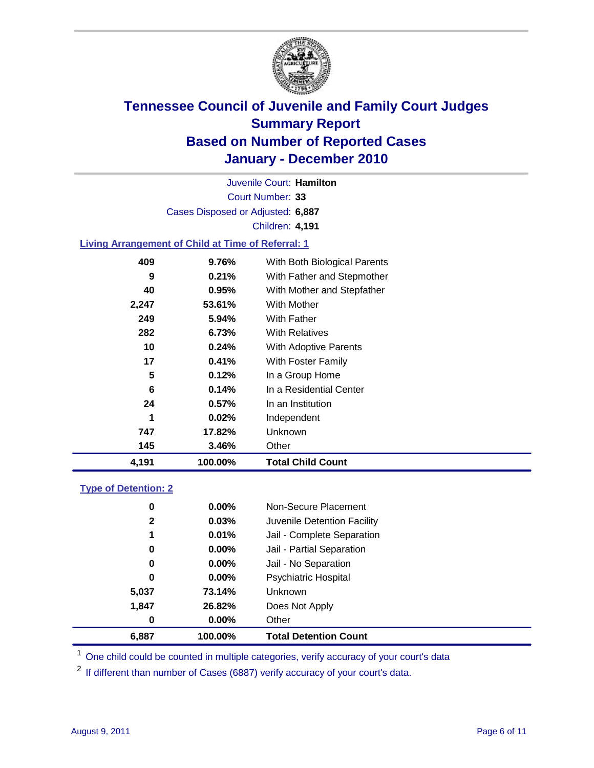

Court Number: **33** Juvenile Court: **Hamilton** Cases Disposed or Adjusted: **6,887** Children: **4,191**

### **Living Arrangement of Child at Time of Referral: 1**

| 4,191 | 100.00%  | <b>Total Child Count</b>     |
|-------|----------|------------------------------|
| 145   | 3.46%    | Other                        |
| 747   | 17.82%   | Unknown                      |
| 1     | 0.02%    | Independent                  |
| 24    | 0.57%    | In an Institution            |
| 6     | 0.14%    | In a Residential Center      |
| 5     | 0.12%    | In a Group Home              |
| 17    | 0.41%    | With Foster Family           |
| 10    | 0.24%    | With Adoptive Parents        |
| 282   | 6.73%    | <b>With Relatives</b>        |
| 249   | $5.94\%$ | With Father                  |
| 2,247 | 53.61%   | With Mother                  |
| 40    | 0.95%    | With Mother and Stepfather   |
| 9     | 0.21%    | With Father and Stepmother   |
| 409   | 9.76%    | With Both Biological Parents |

### **Type of Detention: 2**

| 6,887        | 100.00%  | <b>Total Detention Count</b> |  |
|--------------|----------|------------------------------|--|
| 0            | 0.00%    | Other                        |  |
| 1,847        | 26.82%   | Does Not Apply               |  |
| 5,037        | 73.14%   | Unknown                      |  |
| 0            | $0.00\%$ | Psychiatric Hospital         |  |
| 0            | 0.00%    | Jail - No Separation         |  |
| 0            | $0.00\%$ | Jail - Partial Separation    |  |
| 1            | 0.01%    | Jail - Complete Separation   |  |
| $\mathbf{2}$ | 0.03%    | Juvenile Detention Facility  |  |
| 0            | $0.00\%$ | Non-Secure Placement         |  |
|              |          |                              |  |

<sup>1</sup> One child could be counted in multiple categories, verify accuracy of your court's data

<sup>2</sup> If different than number of Cases (6887) verify accuracy of your court's data.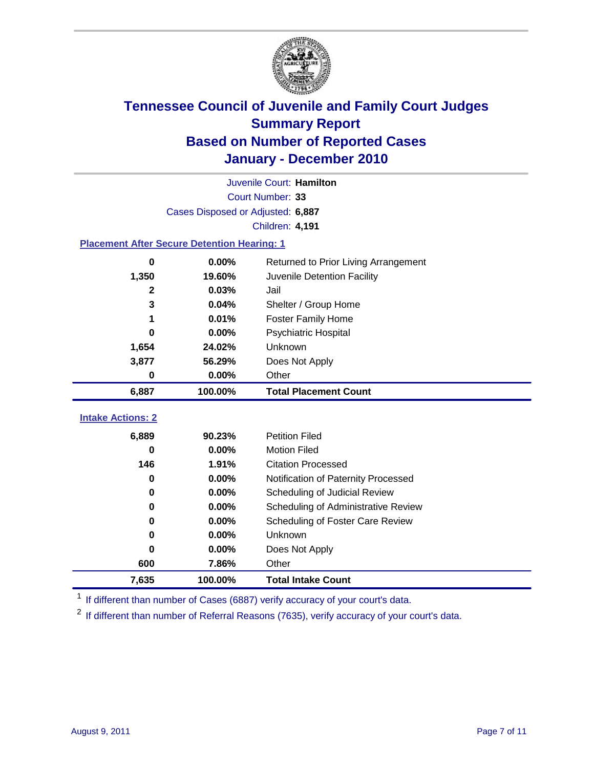

| Juvenile Court: Hamilton                           |                                   |                                      |  |  |  |
|----------------------------------------------------|-----------------------------------|--------------------------------------|--|--|--|
| Court Number: 33                                   |                                   |                                      |  |  |  |
|                                                    | Cases Disposed or Adjusted: 6,887 |                                      |  |  |  |
|                                                    |                                   | <b>Children: 4,191</b>               |  |  |  |
| <b>Placement After Secure Detention Hearing: 1</b> |                                   |                                      |  |  |  |
| $\bf{0}$                                           | 0.00%                             | Returned to Prior Living Arrangement |  |  |  |
| 1,350                                              | 19.60%                            | Juvenile Detention Facility          |  |  |  |
| $\mathbf{2}$                                       | 0.03%                             | Jail                                 |  |  |  |
| 3                                                  | 0.04%                             | Shelter / Group Home                 |  |  |  |
| 1                                                  | 0.01%                             | Foster Family Home                   |  |  |  |
| 0                                                  | 0.00%                             | Psychiatric Hospital                 |  |  |  |
| 1,654                                              | 24.02%                            | Unknown                              |  |  |  |
| 3,877                                              | 56.29%                            | Does Not Apply                       |  |  |  |
| $\mathbf 0$                                        | 0.00%                             | Other                                |  |  |  |
| 6,887                                              | 100.00%                           | <b>Total Placement Count</b>         |  |  |  |
| <b>Intake Actions: 2</b>                           |                                   |                                      |  |  |  |
|                                                    |                                   |                                      |  |  |  |
| 6,889                                              | 90.23%                            | <b>Petition Filed</b>                |  |  |  |
| $\Omega$                                           | 0.00%                             | <b>Motion Filed</b>                  |  |  |  |
| 146                                                | 1.91%                             | <b>Citation Processed</b>            |  |  |  |
| $\bf{0}$                                           | 0.00%                             | Notification of Paternity Processed  |  |  |  |
| $\bf{0}$                                           | 0.00%                             | Scheduling of Judicial Review        |  |  |  |
| 0                                                  | 0.00%                             | Scheduling of Administrative Review  |  |  |  |
| 0                                                  | 0.00%                             | Scheduling of Foster Care Review     |  |  |  |
| 0                                                  | 0.00%                             | <b>Unknown</b>                       |  |  |  |
| 0                                                  | 0.00%                             | Does Not Apply                       |  |  |  |
| 600                                                | 7.86%                             | Other                                |  |  |  |
| 7,635                                              | 100.00%                           | <b>Total Intake Count</b>            |  |  |  |

<sup>1</sup> If different than number of Cases (6887) verify accuracy of your court's data.

<sup>2</sup> If different than number of Referral Reasons (7635), verify accuracy of your court's data.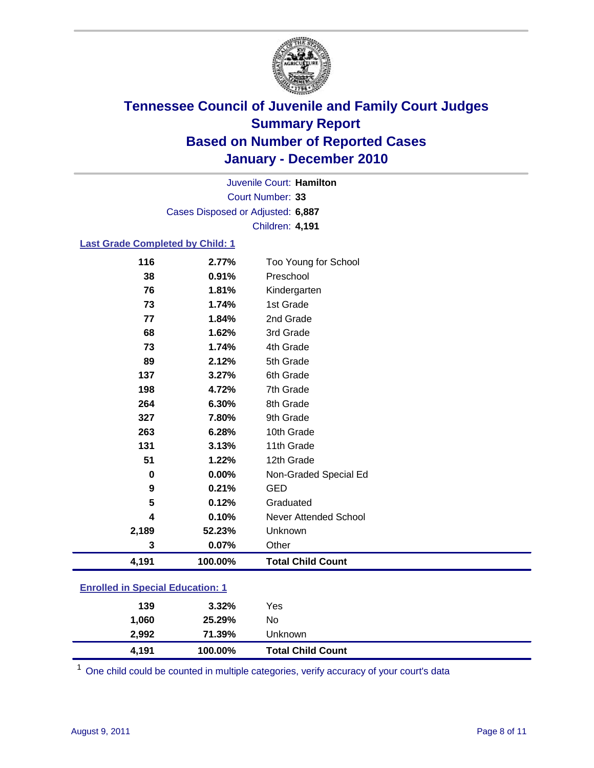

Court Number: **33** Juvenile Court: **Hamilton** Cases Disposed or Adjusted: **6,887** Children: **4,191**

#### **Last Grade Completed by Child: 1**

| 116                                     | 2.77%   | Too Young for School         |  |
|-----------------------------------------|---------|------------------------------|--|
| 38                                      | 0.91%   | Preschool                    |  |
| 76                                      | 1.81%   | Kindergarten                 |  |
| 73                                      | 1.74%   | 1st Grade                    |  |
| 77                                      | 1.84%   | 2nd Grade                    |  |
| 68                                      | 1.62%   | 3rd Grade                    |  |
| 73                                      | 1.74%   | 4th Grade                    |  |
| 89                                      | 2.12%   | 5th Grade                    |  |
| 137                                     | 3.27%   | 6th Grade                    |  |
| 198                                     | 4.72%   | 7th Grade                    |  |
| 264                                     | 6.30%   | 8th Grade                    |  |
| 327                                     | 7.80%   | 9th Grade                    |  |
| 263                                     | 6.28%   | 10th Grade                   |  |
| 131                                     | 3.13%   | 11th Grade                   |  |
| 51                                      | 1.22%   | 12th Grade                   |  |
| 0                                       | 0.00%   | Non-Graded Special Ed        |  |
| 9                                       | 0.21%   | <b>GED</b>                   |  |
| 5                                       | 0.12%   | Graduated                    |  |
| 4                                       | 0.10%   | <b>Never Attended School</b> |  |
| 2,189                                   | 52.23%  | Unknown                      |  |
| 3                                       | 0.07%   | Other                        |  |
| 4,191                                   | 100.00% | <b>Total Child Count</b>     |  |
| <b>Enrolled in Special Education: 1</b> |         |                              |  |

| 4.191 | 100.00%  | <b>Total Child Count</b> |  |
|-------|----------|--------------------------|--|
| 2,992 | 71.39%   | Unknown                  |  |
| 1.060 | 25.29%   | No                       |  |
| 139   | $3.32\%$ | Yes                      |  |
|       |          |                          |  |

 $1$  One child could be counted in multiple categories, verify accuracy of your court's data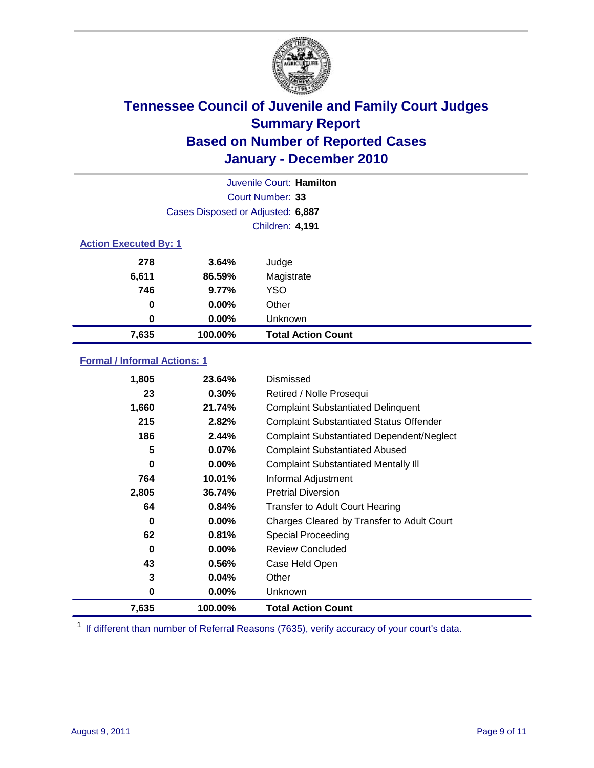

| Juvenile Court: Hamilton     |                                   |                           |  |
|------------------------------|-----------------------------------|---------------------------|--|
|                              | Court Number: 33                  |                           |  |
|                              | Cases Disposed or Adjusted: 6,887 |                           |  |
|                              | <b>Children: 4,191</b>            |                           |  |
| <b>Action Executed By: 1</b> |                                   |                           |  |
| 278                          | 3.64%                             | Judge                     |  |
| 6,611                        | 86.59%                            | Magistrate                |  |
| 746                          | 9.77%                             | <b>YSO</b>                |  |
| $\bf{0}$                     | $0.00\%$                          | Other                     |  |
| 0                            | 0.00%                             | Unknown                   |  |
| 7,635                        | 100.00%                           | <b>Total Action Count</b> |  |

### **Formal / Informal Actions: 1**

| 1,805 | 23.64%   | Dismissed                                        |
|-------|----------|--------------------------------------------------|
| 23    | 0.30%    | Retired / Nolle Prosequi                         |
| 1,660 | 21.74%   | <b>Complaint Substantiated Delinquent</b>        |
| 215   | 2.82%    | <b>Complaint Substantiated Status Offender</b>   |
| 186   | 2.44%    | <b>Complaint Substantiated Dependent/Neglect</b> |
| 5     | 0.07%    | <b>Complaint Substantiated Abused</b>            |
| 0     | $0.00\%$ | <b>Complaint Substantiated Mentally III</b>      |
| 764   | 10.01%   | Informal Adjustment                              |
| 2,805 | 36.74%   | <b>Pretrial Diversion</b>                        |
| 64    | 0.84%    | <b>Transfer to Adult Court Hearing</b>           |
| 0     | 0.00%    | Charges Cleared by Transfer to Adult Court       |
| 62    | 0.81%    | Special Proceeding                               |
| 0     | $0.00\%$ | <b>Review Concluded</b>                          |
| 43    | 0.56%    | Case Held Open                                   |
| 3     | 0.04%    | Other                                            |
| 0     | $0.00\%$ | <b>Unknown</b>                                   |
| 7,635 | 100.00%  | <b>Total Action Count</b>                        |

<sup>1</sup> If different than number of Referral Reasons (7635), verify accuracy of your court's data.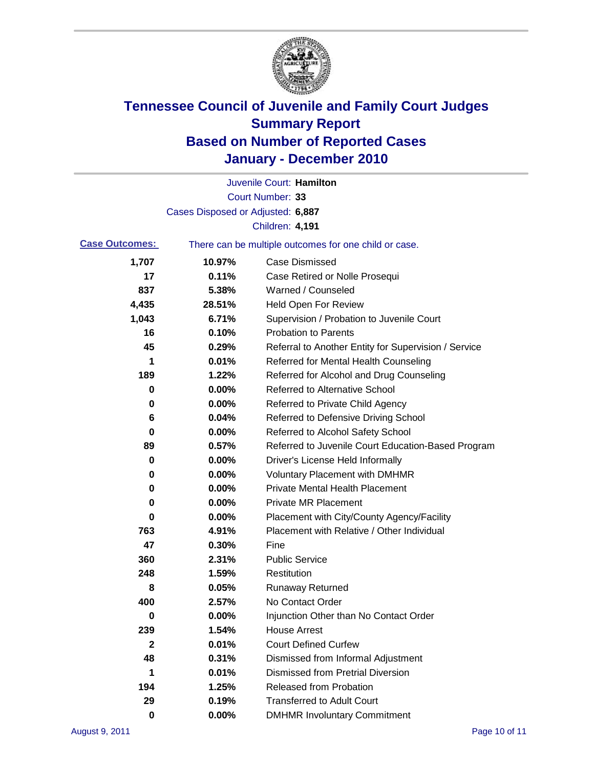

|                       |                                                       | Juvenile Court: Hamilton                             |
|-----------------------|-------------------------------------------------------|------------------------------------------------------|
|                       |                                                       | Court Number: 33                                     |
|                       | Cases Disposed or Adjusted: 6,887                     |                                                      |
|                       |                                                       | <b>Children: 4,191</b>                               |
| <b>Case Outcomes:</b> | There can be multiple outcomes for one child or case. |                                                      |
| 1,707                 | 10.97%                                                | <b>Case Dismissed</b>                                |
| 17                    | 0.11%                                                 | Case Retired or Nolle Prosequi                       |
| 837                   | 5.38%                                                 | Warned / Counseled                                   |
| 4,435                 | 28.51%                                                | <b>Held Open For Review</b>                          |
| 1,043                 | 6.71%                                                 | Supervision / Probation to Juvenile Court            |
| 16                    | 0.10%                                                 | <b>Probation to Parents</b>                          |
| 45                    | 0.29%                                                 | Referral to Another Entity for Supervision / Service |
| 1                     | 0.01%                                                 | Referred for Mental Health Counseling                |
| 189                   | 1.22%                                                 | Referred for Alcohol and Drug Counseling             |
| 0                     | 0.00%                                                 | <b>Referred to Alternative School</b>                |
| 0                     | 0.00%                                                 | Referred to Private Child Agency                     |
| 6                     | 0.04%                                                 | Referred to Defensive Driving School                 |
| 0                     | 0.00%                                                 | Referred to Alcohol Safety School                    |
| 89                    | 0.57%                                                 | Referred to Juvenile Court Education-Based Program   |
| 0                     | 0.00%                                                 | Driver's License Held Informally                     |
| 0                     | 0.00%                                                 | <b>Voluntary Placement with DMHMR</b>                |
| 0                     | 0.00%                                                 | <b>Private Mental Health Placement</b>               |
| 0                     | 0.00%                                                 | <b>Private MR Placement</b>                          |
| 0                     | 0.00%                                                 | Placement with City/County Agency/Facility           |
| 763                   | 4.91%                                                 | Placement with Relative / Other Individual           |
| 47                    | 0.30%                                                 | Fine                                                 |
| 360                   | 2.31%                                                 | <b>Public Service</b>                                |
| 248                   | 1.59%                                                 | Restitution                                          |
| 8                     | 0.05%                                                 | <b>Runaway Returned</b>                              |
| 400                   | 2.57%                                                 | No Contact Order                                     |
| 0                     | 0.00%                                                 | Injunction Other than No Contact Order               |
| 239                   | 1.54%                                                 | <b>House Arrest</b>                                  |
| $\mathbf{2}$          | 0.01%                                                 | <b>Court Defined Curfew</b>                          |
| 48                    | 0.31%                                                 | Dismissed from Informal Adjustment                   |
| 1                     | 0.01%                                                 | <b>Dismissed from Pretrial Diversion</b>             |
| 194                   | 1.25%                                                 | Released from Probation                              |
| 29                    | 0.19%                                                 | <b>Transferred to Adult Court</b>                    |
| 0                     | $0.00\%$                                              | <b>DMHMR Involuntary Commitment</b>                  |